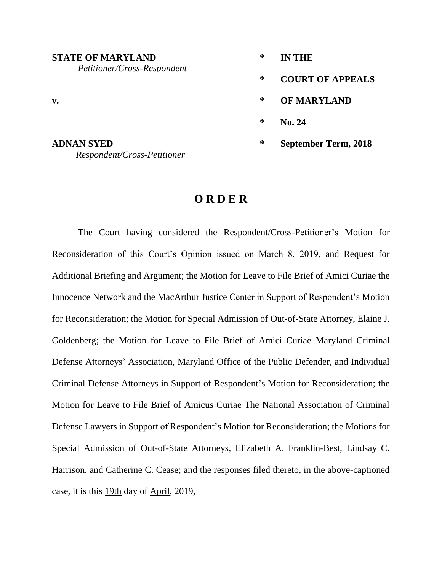| <b>STATE OF MARYLAND</b><br>Petitioner/Cross-Respondent | ∗ | <b>IN THE</b>               |
|---------------------------------------------------------|---|-----------------------------|
|                                                         | ∗ | <b>COURT OF APPEALS</b>     |
| $\mathbf{v}$ .                                          | ∗ | <b>OF MARYLAND</b>          |
|                                                         | ∗ | <b>No. 24</b>               |
| <b>ADNAN SYED</b><br>Respondent/Cross-Petitioner        | ∗ | <b>September Term, 2018</b> |

## **O R D E R**

The Court having considered the Respondent/Cross-Petitioner's Motion for Reconsideration of this Court's Opinion issued on March 8, 2019, and Request for Additional Briefing and Argument; the Motion for Leave to File Brief of Amici Curiae the Innocence Network and the MacArthur Justice Center in Support of Respondent's Motion for Reconsideration; the Motion for Special Admission of Out-of-State Attorney, Elaine J. Goldenberg; the Motion for Leave to File Brief of Amici Curiae Maryland Criminal Defense Attorneys' Association, Maryland Office of the Public Defender, and Individual Criminal Defense Attorneys in Support of Respondent's Motion for Reconsideration; the Motion for Leave to File Brief of Amicus Curiae The National Association of Criminal Defense Lawyers in Support of Respondent's Motion for Reconsideration; the Motions for Special Admission of Out-of-State Attorneys, Elizabeth A. Franklin-Best, Lindsay C. Harrison, and Catherine C. Cease; and the responses filed thereto, in the above-captioned case, it is this 19th day of April, 2019,